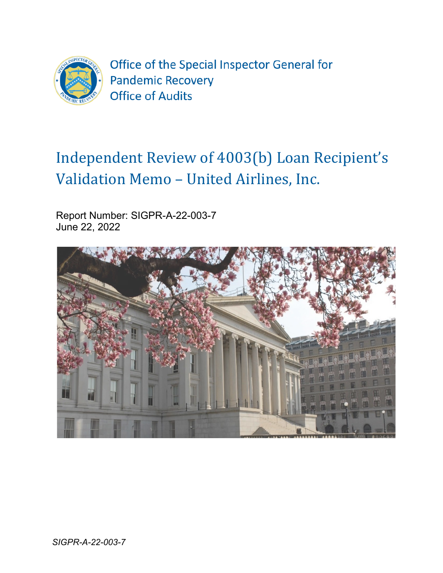

Office of the Special Inspector General for **Pandemic Recovery Office of Audits** 

# Independent Review of 4003(b) Loan Recipient's Validation Memo – United Airlines, Inc.

Report Number: SIGPR-A-22-003-7 June 22, 2022

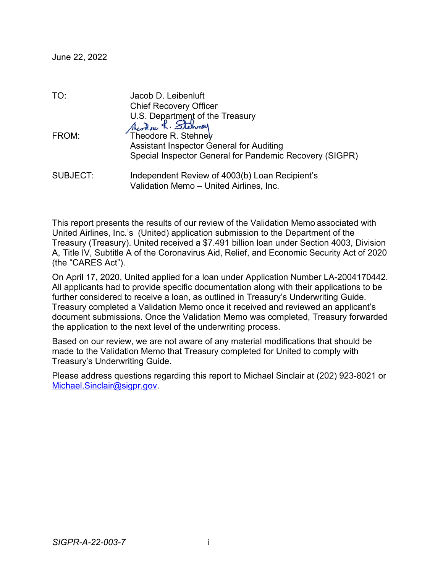| TO:             | Jacob D. Leibenluft                                                        |
|-----------------|----------------------------------------------------------------------------|
|                 | <b>Chief Recovery Officer</b>                                              |
|                 | U.S. Department of the Treasury<br>Aware R. Stehmey<br>Theodore R. Stehney |
|                 |                                                                            |
| FROM:           |                                                                            |
|                 | <b>Assistant Inspector General for Auditing</b>                            |
|                 | Special Inspector General for Pandemic Recovery (SIGPR)                    |
| <b>SUBJECT:</b> | Independent Review of 4003(b) Loan Recipient's                             |
|                 | Validation Memo - United Airlines, Inc.                                    |

This report presents the results of our review of the Validation Memo associated with United Airlines, Inc.'s (United) application submission to the Department of the Treasury (Treasury). United received a \$7.491 billion loan under Section 4003, Division A, Title IV, Subtitle A of the Coronavirus Aid, Relief, and Economic Security Act of 2020 (the "CARES Act").

On April 17, 2020, United applied for a loan under Application Number LA-2004170442. All applicants had to provide specific documentation along with their applications to be further considered to receive a loan, as outlined in Treasury's Underwriting Guide. Treasury completed a Validation Memo once it received and reviewed an applicant's document submissions. Once the Validation Memo was completed, Treasury forwarded the application to the next level of the underwriting process.

Based on our review, we are not aware of any material modifications that should be made to the Validation Memo that Treasury completed for United to comply with Treasury's Underwriting Guide.

Please address questions regarding this report to Michael Sinclair at (202) 923-8021 or [Michael.Sinclair@sigpr.gov.](mailto:Michael.Sinclair@sigpr.gov)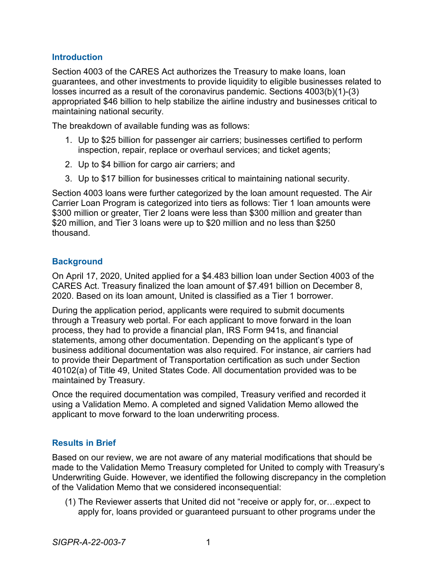### **Introduction**

Section 4003 of the CARES Act authorizes the Treasury to make loans, loan guarantees, and other investments to provide liquidity to eligible businesses related to losses incurred as a result of the coronavirus pandemic. Sections 4003(b)(1)-(3) appropriated \$46 billion to help stabilize the airline industry and businesses critical to maintaining national security.

The breakdown of available funding was as follows:

- 1. Up to \$25 billion for passenger air carriers; businesses certified to perform inspection, repair, replace or overhaul services; and ticket agents;
- 2. Up to \$4 billion for cargo air carriers; and
- 3. Up to \$17 billion for businesses critical to maintaining national security.

Section 4003 loans were further categorized by the loan amount requested. The Air Carrier Loan Program is categorized into tiers as follows: Tier 1 loan amounts were \$300 million or greater, Tier 2 loans were less than \$300 million and greater than \$20 million, and Tier 3 loans were up to \$20 million and no less than \$250 thousand.

#### **Background**

On April 17, 2020, United applied for a \$4.483 billion loan under Section 4003 of the CARES Act. Treasury finalized the loan amount of \$7.491 billion on December 8, 2020. Based on its loan amount, United is classified as a Tier 1 borrower.

During the application period, applicants were required to submit documents through a Treasury web portal. For each applicant to move forward in the loan process, they had to provide a financial plan, IRS Form 941s, and financial statements, among other documentation. Depending on the applicant's type of business additional documentation was also required. For instance, air carriers had to provide their Department of Transportation certification as such under Section 40102(a) of Title 49, United States Code. All documentation provided was to be maintained by Treasury.

Once the required documentation was compiled, Treasury verified and recorded it using a Validation Memo. A completed and signed Validation Memo allowed the applicant to move forward to the loan underwriting process.

## **Results in Brief**

Based on our review, we are not aware of any material modifications that should be made to the Validation Memo Treasury completed for United to comply with Treasury's Underwriting Guide. However, we identified the following discrepancy in the completion of the Validation Memo that we considered inconsequential:

(1) The Reviewer asserts that United did not "receive or apply for, or…expect to apply for, loans provided or guaranteed pursuant to other programs under the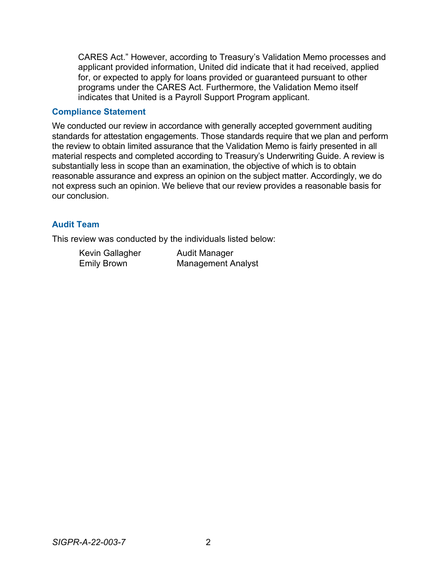CARES Act." However, according to Treasury's Validation Memo processes and applicant provided information, United did indicate that it had received, applied for, or expected to apply for loans provided or guaranteed pursuant to other programs under the CARES Act. Furthermore, the Validation Memo itself indicates that United is a Payroll Support Program applicant.

#### **Compliance Statement**

We conducted our review in accordance with generally accepted government auditing standards for attestation engagements. Those standards require that we plan and perform the review to obtain limited assurance that the Validation Memo is fairly presented in all material respects and completed according to Treasury's Underwriting Guide. A review is substantially less in scope than an examination, the objective of which is to obtain reasonable assurance and express an opinion on the subject matter. Accordingly, we do not express such an opinion. We believe that our review provides a reasonable basis for our conclusion.

### **Audit Team**

This review was conducted by the individuals listed below:

Kevin Gallagher Audit Manager<br>Emily Brown Management A

**Management Analyst**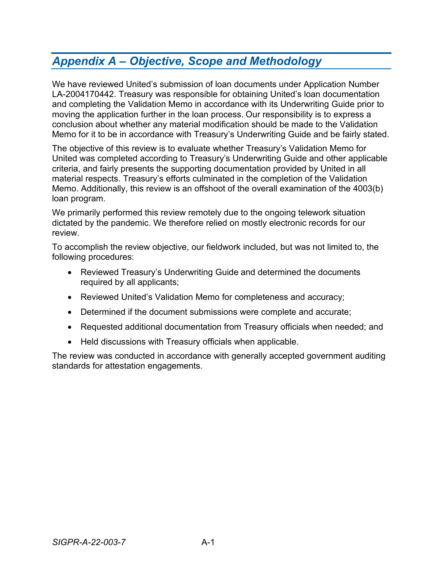# *Appendix A – Objective, Scope and Methodology*

We have reviewed United's submission of loan documents under Application Number LA-2004170442. Treasury was responsible for obtaining United's loan documentation and completing the Validation Memo in accordance with its Underwriting Guide prior to moving the application further in the loan process. Our responsibility is to express a conclusion about whether any material modification should be made to the Validation Memo for it to be in accordance with Treasury's Underwriting Guide and be fairly stated.

The objective of this review is to evaluate whether Treasury's Validation Memo for United was completed according to Treasury's Underwriting Guide and other applicable criteria, and fairly presents the supporting documentation provided by United in all material respects. Treasury's efforts culminated in the completion of the Validation Memo. Additionally, this review is an offshoot of the overall examination of the 4003(b) loan program.

We primarily performed this review remotely due to the ongoing telework situation dictated by the pandemic. We therefore relied on mostly electronic records for our review.

To accomplish the review objective, our fieldwork included, but was not limited to, the following procedures:

- Reviewed Treasury's Underwriting Guide and determined the documents required by all applicants;
- Reviewed United's Validation Memo for completeness and accuracy;
- Determined if the document submissions were complete and accurate;
- Requested additional documentation from Treasury officials when needed; and
- Held discussions with Treasury officials when applicable.

The review was conducted in accordance with generally accepted government auditing standards for attestation engagements.